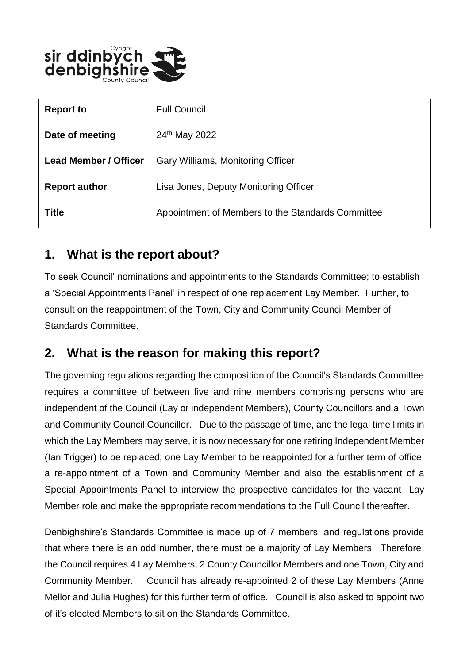

| <b>Report to</b>             | <b>Full Council</b>                               |
|------------------------------|---------------------------------------------------|
| Date of meeting              | 24 <sup>th</sup> May 2022                         |
| <b>Lead Member / Officer</b> | Gary Williams, Monitoring Officer                 |
| <b>Report author</b>         | Lisa Jones, Deputy Monitoring Officer             |
| <b>Title</b>                 | Appointment of Members to the Standards Committee |

### **1. What is the report about?**

To seek Council' nominations and appointments to the Standards Committee; to establish a 'Special Appointments Panel' in respect of one replacement Lay Member. Further, to consult on the reappointment of the Town, City and Community Council Member of Standards Committee.

# **2. What is the reason for making this report?**

The governing regulations regarding the composition of the Council's Standards Committee requires a committee of between five and nine members comprising persons who are independent of the Council (Lay or independent Members), County Councillors and a Town and Community Council Councillor. Due to the passage of time, and the legal time limits in which the Lay Members may serve, it is now necessary for one retiring Independent Member (Ian Trigger) to be replaced; one Lay Member to be reappointed for a further term of office; a re-appointment of a Town and Community Member and also the establishment of a Special Appointments Panel to interview the prospective candidates for the vacant Lay Member role and make the appropriate recommendations to the Full Council thereafter.

Denbighshire's Standards Committee is made up of 7 members, and regulations provide that where there is an odd number, there must be a majority of Lay Members. Therefore, the Council requires 4 Lay Members, 2 County Councillor Members and one Town, City and Community Member. Council has already re-appointed 2 of these Lay Members (Anne Mellor and Julia Hughes) for this further term of office. Council is also asked to appoint two of it's elected Members to sit on the Standards Committee.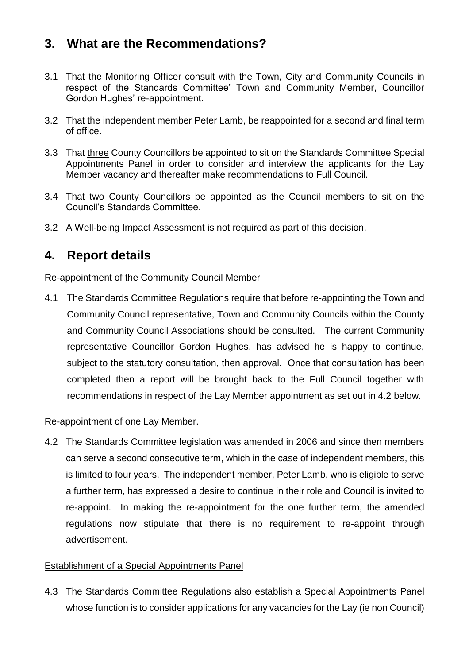# **3. What are the Recommendations?**

- 3.1 That the Monitoring Officer consult with the Town, City and Community Councils in respect of the Standards Committee' Town and Community Member, Councillor Gordon Hughes' re-appointment.
- 3.2 That the independent member Peter Lamb, be reappointed for a second and final term of office.
- 3.3 That three County Councillors be appointed to sit on the Standards Committee Special Appointments Panel in order to consider and interview the applicants for the Lay Member vacancy and thereafter make recommendations to Full Council.
- 3.4 That two County Councillors be appointed as the Council members to sit on the Council's Standards Committee.
- 3.2 A Well-being Impact Assessment is not required as part of this decision.

### **4. Report details**

#### Re-appointment of the Community Council Member

4.1 The Standards Committee Regulations require that before re-appointing the Town and Community Council representative, Town and Community Councils within the County and Community Council Associations should be consulted. The current Community representative Councillor Gordon Hughes, has advised he is happy to continue, subject to the statutory consultation, then approval. Once that consultation has been completed then a report will be brought back to the Full Council together with recommendations in respect of the Lay Member appointment as set out in 4.2 below.

#### Re-appointment of one Lay Member.

4.2 The Standards Committee legislation was amended in 2006 and since then members can serve a second consecutive term, which in the case of independent members, this is limited to four years. The independent member, Peter Lamb, who is eligible to serve a further term, has expressed a desire to continue in their role and Council is invited to re-appoint. In making the re-appointment for the one further term, the amended regulations now stipulate that there is no requirement to re-appoint through advertisement.

#### Establishment of a Special Appointments Panel

4.3 The Standards Committee Regulations also establish a Special Appointments Panel whose function is to consider applications for any vacancies for the Lay (ie non Council)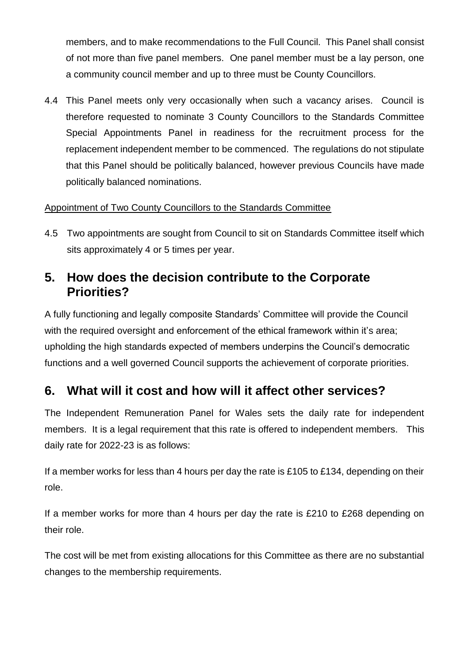members, and to make recommendations to the Full Council. This Panel shall consist of not more than five panel members. One panel member must be a lay person, one a community council member and up to three must be County Councillors.

4.4 This Panel meets only very occasionally when such a vacancy arises. Council is therefore requested to nominate 3 County Councillors to the Standards Committee Special Appointments Panel in readiness for the recruitment process for the replacement independent member to be commenced. The regulations do not stipulate that this Panel should be politically balanced, however previous Councils have made politically balanced nominations.

#### Appointment of Two County Councillors to the Standards Committee

4.5 Two appointments are sought from Council to sit on Standards Committee itself which sits approximately 4 or 5 times per year.

### **5. How does the decision contribute to the Corporate Priorities?**

A fully functioning and legally composite Standards' Committee will provide the Council with the required oversight and enforcement of the ethical framework within it's area; upholding the high standards expected of members underpins the Council's democratic functions and a well governed Council supports the achievement of corporate priorities.

# **6. What will it cost and how will it affect other services?**

The Independent Remuneration Panel for Wales sets the daily rate for independent members. It is a legal requirement that this rate is offered to independent members. This daily rate for 2022-23 is as follows:

If a member works for less than 4 hours per day the rate is £105 to £134, depending on their role.

If a member works for more than 4 hours per day the rate is £210 to £268 depending on their role.

The cost will be met from existing allocations for this Committee as there are no substantial changes to the membership requirements.